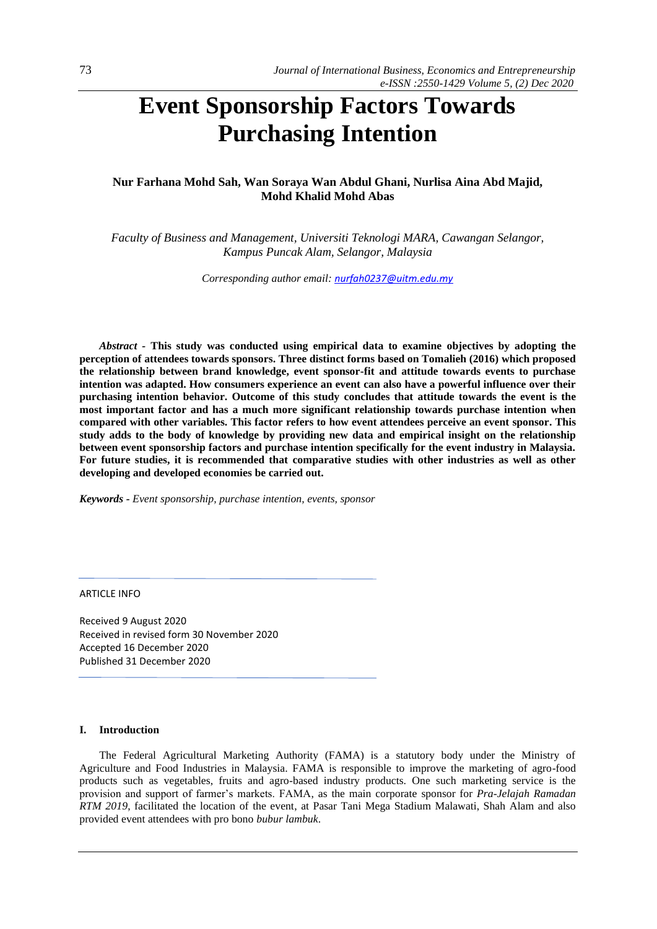# **Event Sponsorship Factors Towards Purchasing Intention**

# **Nur Farhana Mohd Sah, Wan Soraya Wan Abdul Ghani, Nurlisa Aina Abd Majid, Mohd Khalid Mohd Abas**

*Faculty of Business and Management, Universiti Teknologi MARA, Cawangan Selangor, Kampus Puncak Alam, Selangor, Malaysia*

*Corresponding author email: [nurfah0237@uitm.edu.my](mailto:nurfah0237@uitm.edu.my)*

*Abstract -* **This study was conducted using empirical data to examine objectives by adopting the perception of attendees towards sponsors. Three distinct forms based on Tomalieh (2016) which proposed the relationship between brand knowledge, event sponsor-fit and attitude towards events to purchase intention was adapted. How consumers experience an event can also have a powerful influence over their purchasing intention behavior. Outcome of this study concludes that attitude towards the event is the most important factor and has a much more significant relationship towards purchase intention when compared with other variables. This factor refers to how event attendees perceive an event sponsor. This study adds to the body of knowledge by providing new data and empirical insight on the relationship between event sponsorship factors and purchase intention specifically for the event industry in Malaysia. For future studies, it is recommended that comparative studies with other industries as well as other developing and developed economies be carried out.**

*Keywords - Event sponsorship, purchase intention, events, sponsor* 

ARTICLE INFO

Received 9 August 2020 Received in revised form 30 November 2020 Accepted 16 December 2020 Published 31 December 2020

## **I. Introduction**

The Federal Agricultural Marketing Authority (FAMA) is a statutory body under the Ministry of Agriculture and Food Industries in Malaysia. FAMA is responsible to improve the marketing of agro-food products such as vegetables, fruits and agro-based industry products. One such marketing service is the provision and support of farmer's markets. FAMA, as the main corporate sponsor for *Pra-Jelajah Ramadan RTM 2019*, facilitated the location of the event, at Pasar Tani Mega Stadium Malawati, Shah Alam and also provided event attendees with pro bono *bubur lambuk*.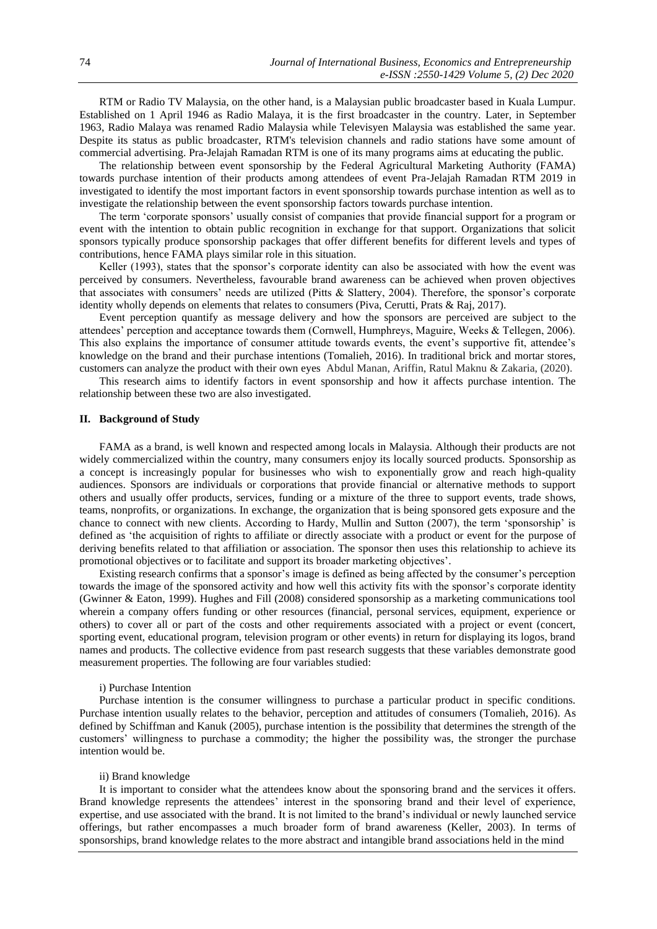RTM or Radio TV Malaysia, on the other hand, is a Malaysian public broadcaster based in Kuala Lumpur. Established on 1 April 1946 as Radio Malaya, it is the first broadcaster in the country. Later, in September 1963, Radio Malaya was renamed Radio Malaysia while Televisyen Malaysia was established the same year. Despite its status as public broadcaster, RTM's television channels and radio stations have some amount of commercial advertising. Pra-Jelajah Ramadan RTM is one of its many programs aims at educating the public.

The relationship between event sponsorship by the Federal Agricultural Marketing Authority (FAMA) towards purchase intention of their products among attendees of event Pra-Jelajah Ramadan RTM 2019 in investigated to identify the most important factors in event sponsorship towards purchase intention as well as to investigate the relationship between the event sponsorship factors towards purchase intention.

The term 'corporate sponsors' usually consist of companies that provide financial support for a program or event with the intention to obtain public recognition in exchange for that support. Organizations that solicit sponsors typically produce sponsorship packages that offer different benefits for different levels and types of contributions, hence FAMA plays similar role in this situation.

Keller (1993), states that the sponsor's corporate identity can also be associated with how the event was perceived by consumers. Nevertheless, favourable brand awareness can be achieved when proven objectives that associates with consumers' needs are utilized (Pitts & Slattery, 2004). Therefore, the sponsor's corporate identity wholly depends on elements that relates to consumers (Piva, Cerutti, Prats & Raj, 2017).

Event perception quantify as message delivery and how the sponsors are perceived are subject to the attendees' perception and acceptance towards them (Cornwell, Humphreys, Maguire, Weeks & Tellegen, 2006). This also explains the importance of consumer attitude towards events, the event's supportive fit, attendee's knowledge on the brand and their purchase intentions (Tomalieh, 2016). In traditional brick and mortar stores, customers can analyze the product with their own eyes Abdul Manan, Ariffin, Ratul Maknu & Zakaria, (2020).

This research aims to identify factors in event sponsorship and how it affects purchase intention. The relationship between these two are also investigated.

## **II. Background of Study**

FAMA as a brand, is well known and respected among locals in Malaysia. Although their products are not widely commercialized within the country, many consumers enjoy its locally sourced products. Sponsorship as a concept is increasingly popular for businesses who wish to exponentially grow and reach high-quality audiences. Sponsors are individuals or corporations that provide financial or alternative methods to support others and usually offer products, services, funding or a mixture of the three to support events, trade shows, teams, nonprofits, or organizations. In exchange, the organization that is being sponsored gets exposure and the chance to connect with new clients. According to Hardy, Mullin and Sutton (2007), the term 'sponsorship' is defined as 'the acquisition of rights to affiliate or directly associate with a product or event for the purpose of deriving benefits related to that affiliation or association. The sponsor then uses this relationship to achieve its promotional objectives or to facilitate and support its broader marketing objectives'.

Existing research confirms that a sponsor's image is defined as being affected by the consumer's perception towards the image of the sponsored activity and how well this activity fits with the sponsor's corporate identity (Gwinner & Eaton, 1999). Hughes and Fill (2008) considered sponsorship as a marketing communications tool wherein a company offers funding or other resources (financial, personal services, equipment, experience or others) to cover all or part of the costs and other requirements associated with a project or event (concert, sporting event, educational program, television program or other events) in return for displaying its logos, brand names and products. The collective evidence from past research suggests that these variables demonstrate good measurement properties. The following are four variables studied:

#### i) Purchase Intention

Purchase intention is the consumer willingness to purchase a particular product in specific conditions. Purchase intention usually relates to the behavior, perception and attitudes of consumers (Tomalieh, 2016). As defined by Schiffman and Kanuk (2005), purchase intention is the possibility that determines the strength of the customers' willingness to purchase a commodity; the higher the possibility was, the stronger the purchase intention would be.

## ii) Brand knowledge

It is important to consider what the attendees know about the sponsoring brand and the services it offers. Brand knowledge represents the attendees' interest in the sponsoring brand and their level of experience, expertise, and use associated with the brand. It is not limited to the brand's individual or newly launched service offerings, but rather encompasses a much broader form of brand awareness (Keller, 2003). In terms of sponsorships, brand knowledge relates to the more abstract and intangible brand associations held in the mind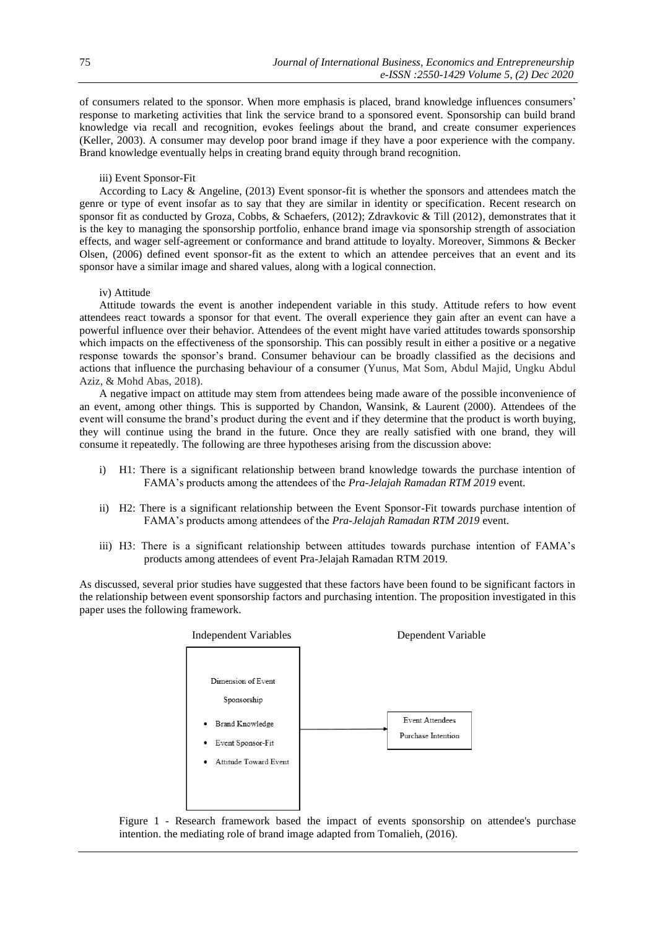of consumers related to the sponsor. When more emphasis is placed, brand knowledge influences consumers' response to marketing activities that link the service brand to a sponsored event. Sponsorship can build brand knowledge via recall and recognition, evokes feelings about the brand, and create consumer experiences (Keller, 2003). A consumer may develop poor brand image if they have a poor experience with the company. Brand knowledge eventually helps in creating brand equity through brand recognition.

## iii) Event Sponsor-Fit

According to Lacy & Angeline, (2013) Event sponsor-fit is whether the sponsors and attendees match the genre or type of event insofar as to say that they are similar in identity or specification. Recent research on sponsor fit as conducted by Groza, Cobbs, & Schaefers, (2012); Zdravkovic & Till (2012), demonstrates that it is the key to managing the sponsorship portfolio, enhance brand image via sponsorship strength of association effects, and wager self-agreement or conformance and brand attitude to loyalty. Moreover, Simmons & Becker Olsen, (2006) defined event sponsor-fit as the extent to which an attendee perceives that an event and its sponsor have a similar image and shared values, along with a logical connection.

## iv) Attitude

Attitude towards the event is another independent variable in this study. Attitude refers to how event attendees react towards a sponsor for that event. The overall experience they gain after an event can have a powerful influence over their behavior. Attendees of the event might have varied attitudes towards sponsorship which impacts on the effectiveness of the sponsorship. This can possibly result in either a positive or a negative response towards the sponsor's brand. Consumer behaviour can be broadly classified as the decisions and actions that influence the purchasing behaviour of a consumer (Yunus, Mat Som, Abdul Majid, Ungku Abdul Aziz, & Mohd Abas, 2018).

A negative impact on attitude may stem from attendees being made aware of the possible inconvenience of an event, among other things. This is supported by Chandon, Wansink, & Laurent (2000). Attendees of the event will consume the brand's product during the event and if they determine that the product is worth buying, they will continue using the brand in the future. Once they are really satisfied with one brand, they will consume it repeatedly. The following are three hypotheses arising from the discussion above:

- i) H1: There is a significant relationship between brand knowledge towards the purchase intention of FAMA's products among the attendees of the *Pra-Jelajah Ramadan RTM 2019* event.
- ii) H2: There is a significant relationship between the Event Sponsor-Fit towards purchase intention of FAMA's products among attendees of the *Pra-Jelajah Ramadan RTM 2019* event.
- iii) H3: There is a significant relationship between attitudes towards purchase intention of FAMA's products among attendees of event Pra-Jelajah Ramadan RTM 2019.

As discussed, several prior studies have suggested that these factors have been found to be significant factors in the relationship between event sponsorship factors and purchasing intention. The proposition investigated in this paper uses the following framework.



Figure 1 - Research framework based the impact of events sponsorship on attendee's purchase intention. the mediating role of brand image adapted from Tomalieh, (2016).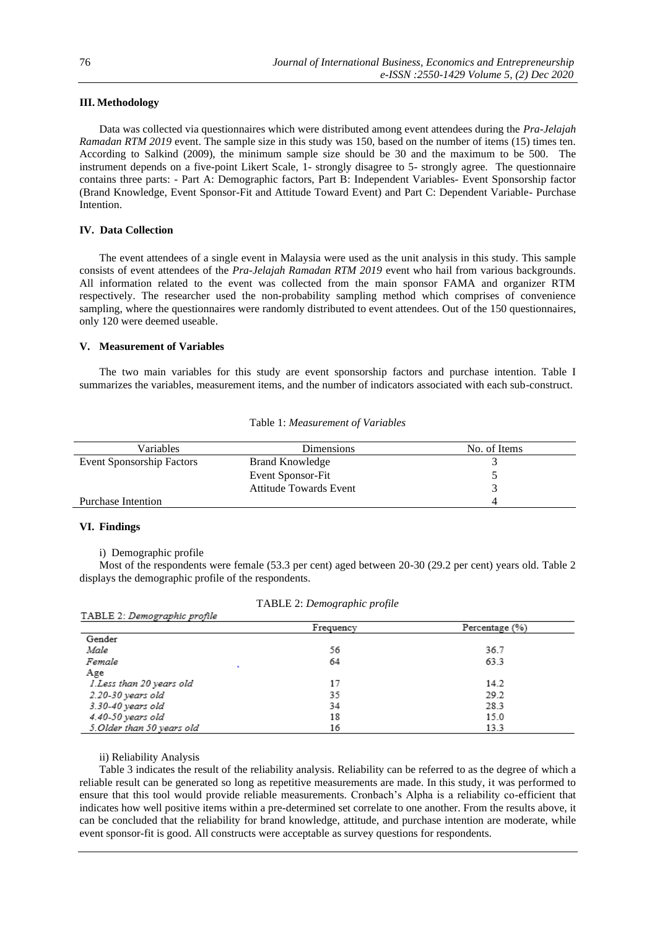# **III. Methodology**

Data was collected via questionnaires which were distributed among event attendees during the *Pra-Jelajah Ramadan RTM 2019* event. The sample size in this study was 150, based on the number of items (15) times ten. According to Salkind (2009), the minimum sample size should be 30 and the maximum to be 500. The instrument depends on a five-point Likert Scale, 1- strongly disagree to 5- strongly agree. The questionnaire contains three parts: - Part A: Demographic factors, Part B: Independent Variables- Event Sponsorship factor (Brand Knowledge, Event Sponsor-Fit and Attitude Toward Event) and Part C: Dependent Variable- Purchase Intention.

## **IV. Data Collection**

The event attendees of a single event in Malaysia were used as the unit analysis in this study. This sample consists of event attendees of the *Pra-Jelajah Ramadan RTM 2019* event who hail from various backgrounds. All information related to the event was collected from the main sponsor FAMA and organizer RTM respectively. The researcher used the non-probability sampling method which comprises of convenience sampling, where the questionnaires were randomly distributed to event attendees. Out of the 150 questionnaires, only 120 were deemed useable.

## **V. Measurement of Variables**

The two main variables for this study are event sponsorship factors and purchase intention. Table I summarizes the variables, measurement items, and the number of indicators associated with each sub-construct.

| Variables                        | Dimensions                    | No. of Items |
|----------------------------------|-------------------------------|--------------|
| <b>Event Sponsorship Factors</b> | Brand Knowledge               |              |
|                                  | Event Sponsor-Fit             |              |
|                                  | <b>Attitude Towards Event</b> |              |
| Purchase Intention               |                               |              |

Table 1: *Measurement of Variables*

### **VI. Findings**

i) Demographic profile

 $TADID22.$  Demonstrationally

Most of the respondents were female (53.3 per cent) aged between 20-30 (29.2 per cent) years old. Table 2 displays the demographic profile of the respondents.

|  | TABLE 2: Demographic profile |  |
|--|------------------------------|--|
|--|------------------------------|--|

| TABLE L: Demographic profile |           |                |  |
|------------------------------|-----------|----------------|--|
|                              | Frequency | Percentage (%) |  |
| Gender                       |           |                |  |
| Male                         | 56        | 36.7           |  |
| Female                       | 64        | 63.3           |  |
| Age                          |           |                |  |
| 1.Less than 20 years old     | 17        | 14.2           |  |
| 2.20-30 years old            | 35        | 29.2           |  |
| 3.30-40 years old            | 34        | 28.3           |  |
| 4.40-50 years old            | 18        | 15.0           |  |
| 5.Older than 50 years old    | 16        | 13.3           |  |

#### ii) Reliability Analysis

Table 3 indicates the result of the reliability analysis. Reliability can be referred to as the degree of which a reliable result can be generated so long as repetitive measurements are made. In this study, it was performed to ensure that this tool would provide reliable measurements. Cronbach's Alpha is a reliability co-efficient that indicates how well positive items within a pre-determined set correlate to one another. From the results above, it can be concluded that the reliability for brand knowledge, attitude, and purchase intention are moderate, while event sponsor-fit is good. All constructs were acceptable as survey questions for respondents.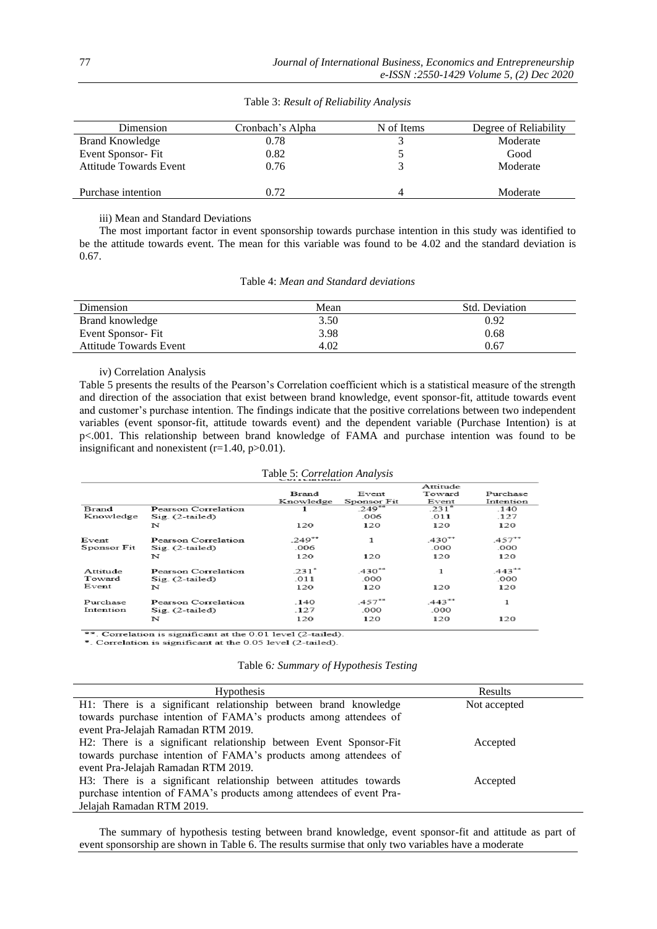| Dimension              | Cronbach's Alpha | N of Items | Degree of Reliability |
|------------------------|------------------|------------|-----------------------|
| <b>Brand Knowledge</b> | 0.78             |            | Moderate              |
| Event Sponsor-Fit      | 0.82             |            | Good                  |
| Attitude Towards Event | 0.76             |            | Moderate              |
|                        |                  |            |                       |
| Purchase intention     | 0.72             |            | Moderate              |
|                        |                  |            |                       |

Table 3: *Result of Reliability Analysis*

iii) Mean and Standard Deviations

The most important factor in event sponsorship towards purchase intention in this study was identified to be the attitude towards event. The mean for this variable was found to be 4.02 and the standard deviation is 0.67.

|  |  |  | Table 4: Mean and Standard deviations |
|--|--|--|---------------------------------------|
|--|--|--|---------------------------------------|

| Dimension                     | Mean | <b>Std.</b> Deviation |
|-------------------------------|------|-----------------------|
| Brand knowledge               | 3.50 | 0.92                  |
| Event Sponsor- Fit            | 3.98 | 0.68                  |
| <b>Attitude Towards Event</b> | 4.02 | 0.67                  |

## iv) Correlation Analysis

Table 5 presents the results of the Pearson's Correlation coefficient which is a statistical measure of the strength and direction of the association that exist between brand knowledge, event sponsor-fit, attitude towards event and customer's purchase intention. The findings indicate that the positive correlations between two independent variables (event sponsor-fit, attitude towards event) and the dependent variable (Purchase Intention) is at p<.001. This relationship between brand knowledge of FAMA and purchase intention was found to be insignificant and nonexistent (r=1.40, p>0.01).

|             |                     | Table 5: Correlation Analysis |              |           |              |
|-------------|---------------------|-------------------------------|--------------|-----------|--------------|
|             |                     |                               |              | Attitude  |              |
|             |                     | Brand                         | Event        | Toward    | Purchase     |
|             |                     | Knowledge                     | Sponsor Fit  | Event     | Intention    |
| Brand       | Pearson Correlation | 1                             | $.249***$    | 231"      | .140         |
| Knowledge   | $Sig. (2-tailed)$   |                               | .006         | .011      | .127         |
|             | N                   | 120                           | 120          | 120       | 120          |
| Event       | Pearson Correlation | $.249**$                      | $\mathbf{1}$ | $.430**$  | $.457***$    |
| Sponsor Fit | $Sig.$ $(2-tailed)$ | .006                          |              | .000      | .000         |
|             | N                   | 120                           | 120          | 120       | 120          |
| Attitude    | Pearson Correlation | $.231*$                       | $.430**$     | 1         | $.443***$    |
| Toward      | $Sig.$ $(2-tailed)$ | 011                           | .000         |           | .000         |
| Event       | N                   | 120                           | 120          | 120       | 120          |
| Purchase    | Pearson Correlation | .140                          | $.457**$     | $.443***$ | $\mathbf{1}$ |
| Intention   | $Sig.$ $(2-tailed)$ | .127                          | 000          | 000       |              |
|             | N                   | 120                           | 120          | 120       | 120          |
|             |                     |                               |              |           |              |

\*\*. Correlation is significant at the 0.01 level (2-tailed).

\*. Correlation is significant at the 0.05 level (2-tailed).

| <b>Hypothesis</b>                                                   | Results      |  |  |
|---------------------------------------------------------------------|--------------|--|--|
| H1: There is a significant relationship between brand knowledge     | Not accepted |  |  |
| towards purchase intention of FAMA's products among attendees of    |              |  |  |
| event Pra-Jelajah Ramadan RTM 2019.                                 |              |  |  |
| H2: There is a significant relationship between Event Sponsor-Fit   | Accepted     |  |  |
| towards purchase intention of FAMA's products among attendees of    |              |  |  |
| event Pra-Jelajah Ramadan RTM 2019.                                 |              |  |  |
| H3: There is a significant relationship between attitudes towards   | Accepted     |  |  |
| purchase intention of FAMA's products among attendees of event Pra- |              |  |  |
| Jelajah Ramadan RTM 2019.                                           |              |  |  |

The summary of hypothesis testing between brand knowledge, event sponsor-fit and attitude as part of event sponsorship are shown in Table 6. The results surmise that only two variables have a moderate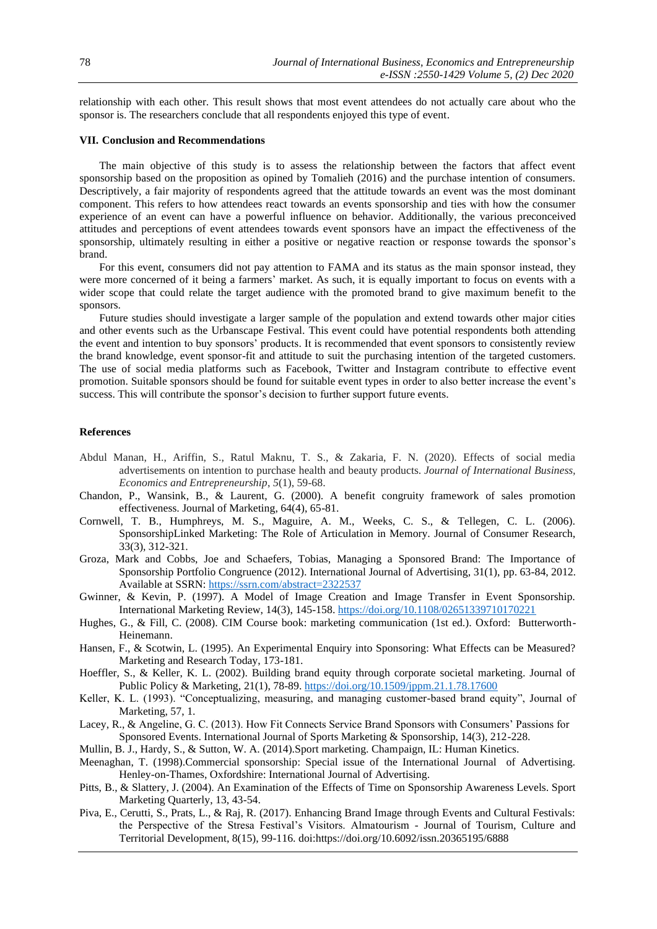relationship with each other. This result shows that most event attendees do not actually care about who the sponsor is. The researchers conclude that all respondents enjoyed this type of event.

## **VII. Conclusion and Recommendations**

The main objective of this study is to assess the relationship between the factors that affect event sponsorship based on the proposition as opined by Tomalieh (2016) and the purchase intention of consumers. Descriptively, a fair majority of respondents agreed that the attitude towards an event was the most dominant component. This refers to how attendees react towards an events sponsorship and ties with how the consumer experience of an event can have a powerful influence on behavior. Additionally, the various preconceived attitudes and perceptions of event attendees towards event sponsors have an impact the effectiveness of the sponsorship, ultimately resulting in either a positive or negative reaction or response towards the sponsor's brand.

For this event, consumers did not pay attention to FAMA and its status as the main sponsor instead, they were more concerned of it being a farmers' market. As such, it is equally important to focus on events with a wider scope that could relate the target audience with the promoted brand to give maximum benefit to the sponsors.

Future studies should investigate a larger sample of the population and extend towards other major cities and other events such as the Urbanscape Festival. This event could have potential respondents both attending the event and intention to buy sponsors' products. It is recommended that event sponsors to consistently review the brand knowledge, event sponsor-fit and attitude to suit the purchasing intention of the targeted customers. The use of social media platforms such as Facebook, Twitter and Instagram contribute to effective event promotion. Suitable sponsors should be found for suitable event types in order to also better increase the event's success. This will contribute the sponsor's decision to further support future events.

## **References**

- Abdul Manan, H., Ariffin, S., Ratul Maknu, T. S., & Zakaria, F. N. (2020). Effects of social media advertisements on intention to purchase health and beauty products. *Journal of International Business, Economics and Entrepreneurship*, *5*(1), 59-68.
- Chandon, P., Wansink, B., & Laurent, G. (2000). A benefit congruity framework of sales promotion effectiveness. Journal of Marketing, 64(4), 65-81.
- Cornwell, T. B., Humphreys, M. S., Maguire, A. M., Weeks, C. S., & Tellegen, C. L. (2006). SponsorshipLinked Marketing: The Role of Articulation in Memory. Journal of Consumer Research, 33(3), 312-321.
- Groza, Mark and Cobbs, Joe and Schaefers, Tobias, Managing a Sponsored Brand: The Importance of Sponsorship Portfolio Congruence (2012). International Journal of Advertising, 31(1), pp. 63-84, 2012. Available at SSRN:<https://ssrn.com/abstract=2322537>
- Gwinner, & Kevin, P. (1997). A Model of Image Creation and Image Transfer in Event Sponsorship. International Marketing Review, 14(3), 145-158.<https://doi.org/10.1108/02651339710170221>
- Hughes, G., & Fill, C. (2008). CIM Course book: marketing communication (1st ed.). Oxford: Butterworth-Heinemann.
- Hansen, F., & Scotwin, L. (1995). An Experimental Enquiry into Sponsoring: What Effects can be Measured? Marketing and Research Today, 173-181.
- Hoeffler, S., & Keller, K. L. (2002). Building brand equity through corporate societal marketing. Journal of Public Policy & Marketing, 21(1), 78-89.<https://doi.org/10.1509/jppm.21.1.78.17600>
- Keller, K. L. (1993). "Conceptualizing, measuring, and managing customer-based brand equity", Journal of Marketing, 57, 1.
- Lacey, R., & Angeline, G. C. (2013). How Fit Connects Service Brand Sponsors with Consumers' Passions for Sponsored Events. International Journal of Sports Marketing & Sponsorship, 14(3), 212-228.
- Mullin, B. J., Hardy, S., & Sutton, W. A. (2014).Sport marketing. Champaign, IL: Human Kinetics.
- Meenaghan, T. (1998).Commercial sponsorship: Special issue of the International Journal of Advertising. Henley-on-Thames, Oxfordshire: International Journal of Advertising.
- Pitts, B., & Slattery, J. (2004). An Examination of the Effects of Time on Sponsorship Awareness Levels. Sport Marketing Quarterly, 13, 43-54.
- Piva, E., Cerutti, S., Prats, L., & Raj, R. (2017). Enhancing Brand Image through Events and Cultural Festivals: the Perspective of the Stresa Festival's Visitors. Almatourism - Journal of Tourism, Culture and Territorial Development, 8(15), 99-116. doi:https://doi.org/10.6092/issn.20365195/6888